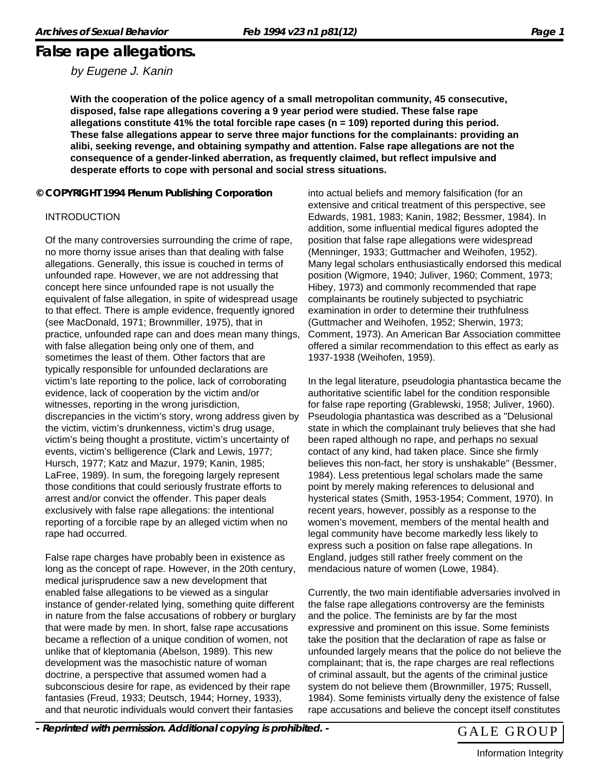by Eugene J. Kanin

**With the cooperation of the police agency of a small metropolitan community, 45 consecutive, disposed, false rape allegations covering a 9 year period were studied. These false rape allegations constitute 41% the total forcible rape cases (n = 109) reported during this period. These false allegations appear to serve three major functions for the complainants: providing an alibi, seeking revenge, and obtaining sympathy and attention. False rape allegations are not the consequence of a gender-linked aberration, as frequently claimed, but reflect impulsive and desperate efforts to cope with personal and social stress situations.**

**© COPYRIGHT 1994 Plenum Publishing Corporation**

#### INTRODUCTION

Of the many controversies surrounding the crime of rape, no more thorny issue arises than that dealing with false allegations. Generally, this issue is couched in terms of unfounded rape. However, we are not addressing that concept here since unfounded rape is not usually the equivalent of false allegation, in spite of widespread usage to that effect. There is ample evidence, frequently ignored (see MacDonald, 1971; Brownmiller, 1975), that in practice, unfounded rape can and does mean many things, with false allegation being only one of them, and sometimes the least of them. Other factors that are typically responsible for unfounded declarations are victim's late reporting to the police, lack of corroborating evidence, lack of cooperation by the victim and/or witnesses, reporting in the wrong jurisdiction, discrepancies in the victim's story, wrong address given by the victim, victim's drunkenness, victim's drug usage, victim's being thought a prostitute, victim's uncertainty of events, victim's belligerence (Clark and Lewis, 1977; Hursch, 1977; Katz and Mazur, 1979; Kanin, 1985; LaFree, 1989). In sum, the foregoing largely represent those conditions that could seriously frustrate efforts to arrest and/or convict the offender. This paper deals exclusively with false rape allegations: the intentional reporting of a forcible rape by an alleged victim when no rape had occurred.

False rape charges have probably been in existence as long as the concept of rape. However, in the 20th century, medical jurisprudence saw a new development that enabled false allegations to be viewed as a singular instance of gender-related lying, something quite different in nature from the false accusations of robbery or burglary that were made by men. In short, false rape accusations became a reflection of a unique condition of women, not unlike that of kleptomania (Abelson, 1989). This new development was the masochistic nature of woman doctrine, a perspective that assumed women had a subconscious desire for rape, as evidenced by their rape fantasies (Freud, 1933; Deutsch, 1944; Horney, 1933), and that neurotic individuals would convert their fantasies

into actual beliefs and memory falsification (for an extensive and critical treatment of this perspective, see Edwards, 1981, 1983; Kanin, 1982; Bessmer, 1984). In addition, some influential medical figures adopted the position that false rape allegations were widespread (Menninger, 1933; Guttmacher and Weihofen, 1952). Many legal scholars enthusiastically endorsed this medical position (Wigmore, 1940; Juliver, 1960; Comment, 1973; Hibey, 1973) and commonly recommended that rape complainants be routinely subjected to psychiatric examination in order to determine their truthfulness (Guttmacher and Weihofen, 1952; Sherwin, 1973; Comment, 1973). An American Bar Association committee offered a similar recommendation to this effect as early as 1937-1938 (Weihofen, 1959).

In the legal literature, pseudologia phantastica became the authoritative scientific label for the condition responsible for false rape reporting (Grablewski, 1958; Juliver, 1960). Pseudologia phantastica was described as a "Delusional state in which the complainant truly believes that she had been raped although no rape, and perhaps no sexual contact of any kind, had taken place. Since she firmly believes this non-fact, her story is unshakable" (Bessmer, 1984). Less pretentious legal scholars made the same point by merely making references to delusional and hysterical states (Smith, 1953-1954; Comment, 1970). In recent years, however, possibly as a response to the women's movement, members of the mental health and legal community have become markedly less likely to express such a position on false rape allegations. In England, judges still rather freely comment on the mendacious nature of women (Lowe, 1984).

Currently, the two main identifiable adversaries involved in the false rape allegations controversy are the feminists and the police. The feminists are by far the most expressive and prominent on this issue. Some feminists take the position that the declaration of rape as false or unfounded largely means that the police do not believe the complainant; that is, the rape charges are real reflections of criminal assault, but the agents of the criminal justice system do not believe them (Brownmiller, 1975; Russell, 1984). Some feminists virtually deny the existence of false rape accusations and believe the concept itself constitutes

- Reprinted with permission. Additional copying is prohibited. - GALE GROUP



Information Integrity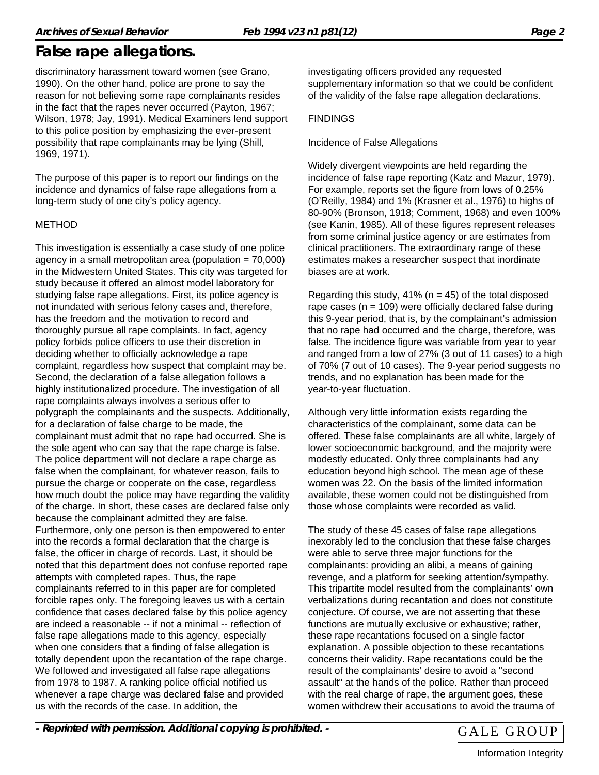discriminatory harassment toward women (see Grano, 1990). On the other hand, police are prone to say the reason for not believing some rape complainants resides in the fact that the rapes never occurred (Payton, 1967; Wilson, 1978; Jay, 1991). Medical Examiners lend support to this police position by emphasizing the ever-present possibility that rape complainants may be lying (Shill, 1969, 1971).

The purpose of this paper is to report our findings on the incidence and dynamics of false rape allegations from a long-term study of one city's policy agency.

#### METHOD

This investigation is essentially a case study of one police agency in a small metropolitan area (population  $= 70,000$ ) in the Midwestern United States. This city was targeted for study because it offered an almost model laboratory for studying false rape allegations. First, its police agency is not inundated with serious felony cases and, therefore, has the freedom and the motivation to record and thoroughly pursue all rape complaints. In fact, agency policy forbids police officers to use their discretion in deciding whether to officially acknowledge a rape complaint, regardless how suspect that complaint may be. Second, the declaration of a false allegation follows a highly institutionalized procedure. The investigation of all rape complaints always involves a serious offer to polygraph the complainants and the suspects. Additionally, for a declaration of false charge to be made, the complainant must admit that no rape had occurred. She is the sole agent who can say that the rape charge is false. The police department will not declare a rape charge as false when the complainant, for whatever reason, fails to pursue the charge or cooperate on the case, regardless how much doubt the police may have regarding the validity of the charge. In short, these cases are declared false only because the complainant admitted they are false. Furthermore, only one person is then empowered to enter into the records a formal declaration that the charge is false, the officer in charge of records. Last, it should be noted that this department does not confuse reported rape attempts with completed rapes. Thus, the rape complainants referred to in this paper are for completed forcible rapes only. The foregoing leaves us with a certain confidence that cases declared false by this police agency are indeed a reasonable -- if not a minimal -- reflection of false rape allegations made to this agency, especially when one considers that a finding of false allegation is totally dependent upon the recantation of the rape charge. We followed and investigated all false rape allegations from 1978 to 1987. A ranking police official notified us whenever a rape charge was declared false and provided us with the records of the case. In addition, the

investigating officers provided any requested supplementary information so that we could be confident of the validity of the false rape allegation declarations.

#### FINDINGS

#### Incidence of False Allegations

Widely divergent viewpoints are held regarding the incidence of false rape reporting (Katz and Mazur, 1979). For example, reports set the figure from lows of 0.25% (O'Reilly, 1984) and 1% (Krasner et al., 1976) to highs of 80-90% (Bronson, 1918; Comment, 1968) and even 100% (see Kanin, 1985). All of these figures represent releases from some criminal justice agency or are estimates from clinical practitioners. The extraordinary range of these estimates makes a researcher suspect that inordinate biases are at work.

Regarding this study,  $41\%$  (n = 45) of the total disposed rape cases ( $n = 109$ ) were officially declared false during this 9-year period, that is, by the complainant's admission that no rape had occurred and the charge, therefore, was false. The incidence figure was variable from year to year and ranged from a low of 27% (3 out of 11 cases) to a high of 70% (7 out of 10 cases). The 9-year period suggests no trends, and no explanation has been made for the year-to-year fluctuation.

Although very little information exists regarding the characteristics of the complainant, some data can be offered. These false complainants are all white, largely of lower socioeconomic background, and the majority were modestly educated. Only three complainants had any education beyond high school. The mean age of these women was 22. On the basis of the limited information available, these women could not be distinguished from those whose complaints were recorded as valid.

The study of these 45 cases of false rape allegations inexorably led to the conclusion that these false charges were able to serve three major functions for the complainants: providing an alibi, a means of gaining revenge, and a platform for seeking attention/sympathy. This tripartite model resulted from the complainants' own verbalizations during recantation and does not constitute conjecture. Of course, we are not asserting that these functions are mutually exclusive or exhaustive; rather, these rape recantations focused on a single factor explanation. A possible objection to these recantations concerns their validity. Rape recantations could be the result of the complainants' desire to avoid a "second assault" at the hands of the police. Rather than proceed with the real charge of rape, the argument goes, these women withdrew their accusations to avoid the trauma of

- Reprinted with permission. Additional copying is prohibited. - GALE GROUP



Information Integrity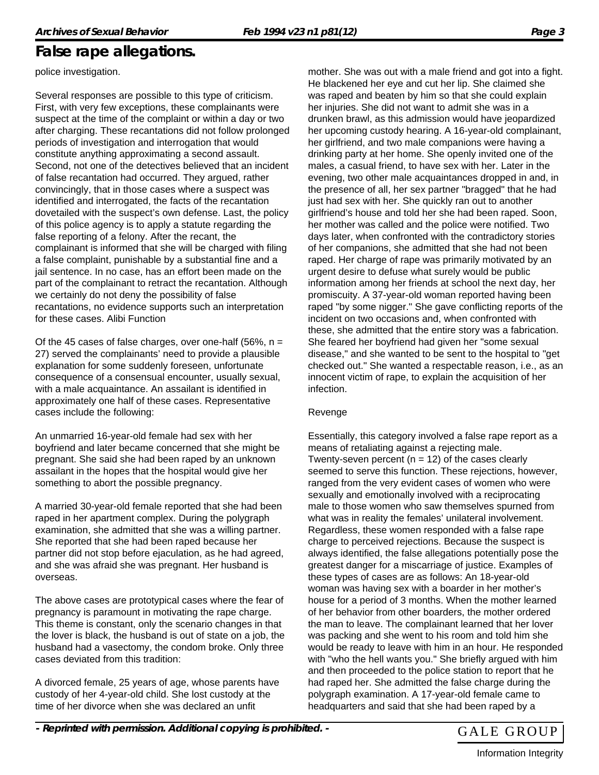police investigation.

Several responses are possible to this type of criticism. First, with very few exceptions, these complainants were suspect at the time of the complaint or within a day or two after charging. These recantations did not follow prolonged periods of investigation and interrogation that would constitute anything approximating a second assault. Second, not one of the detectives believed that an incident of false recantation had occurred. They argued, rather convincingly, that in those cases where a suspect was identified and interrogated, the facts of the recantation dovetailed with the suspect's own defense. Last, the policy of this police agency is to apply a statute regarding the false reporting of a felony. After the recant, the complainant is informed that she will be charged with filing a false complaint, punishable by a substantial fine and a jail sentence. In no case, has an effort been made on the part of the complainant to retract the recantation. Although we certainly do not deny the possibility of false recantations, no evidence supports such an interpretation for these cases. Alibi Function

Of the 45 cases of false charges, over one-half (56%,  $n =$ 27) served the complainants' need to provide a plausible explanation for some suddenly foreseen, unfortunate consequence of a consensual encounter, usually sexual, with a male acquaintance. An assailant is identified in approximately one half of these cases. Representative cases include the following:

An unmarried 16-year-old female had sex with her boyfriend and later became concerned that she might be pregnant. She said she had been raped by an unknown assailant in the hopes that the hospital would give her something to abort the possible pregnancy.

A married 30-year-old female reported that she had been raped in her apartment complex. During the polygraph examination, she admitted that she was a willing partner. She reported that she had been raped because her partner did not stop before ejaculation, as he had agreed, and she was afraid she was pregnant. Her husband is overseas.

The above cases are prototypical cases where the fear of pregnancy is paramount in motivating the rape charge. This theme is constant, only the scenario changes in that the lover is black, the husband is out of state on a job, the husband had a vasectomy, the condom broke. Only three cases deviated from this tradition:

A divorced female, 25 years of age, whose parents have custody of her 4-year-old child. She lost custody at the time of her divorce when she was declared an unfit

mother. She was out with a male friend and got into a fight. He blackened her eye and cut her lip. She claimed she was raped and beaten by him so that she could explain her injuries. She did not want to admit she was in a drunken brawl, as this admission would have jeopardized her upcoming custody hearing. A 16-year-old complainant, her girlfriend, and two male companions were having a drinking party at her home. She openly invited one of the males, a casual friend, to have sex with her. Later in the evening, two other male acquaintances dropped in and, in the presence of all, her sex partner "bragged" that he had just had sex with her. She quickly ran out to another girlfriend's house and told her she had been raped. Soon, her mother was called and the police were notified. Two days later, when confronted with the contradictory stories of her companions, she admitted that she had not been raped. Her charge of rape was primarily motivated by an urgent desire to defuse what surely would be public information among her friends at school the next day, her promiscuity. A 37-year-old woman reported having been raped "by some nigger." She gave conflicting reports of the incident on two occasions and, when confronted with these, she admitted that the entire story was a fabrication. She feared her boyfriend had given her "some sexual disease," and she wanted to be sent to the hospital to "get checked out." She wanted a respectable reason, i.e., as an innocent victim of rape, to explain the acquisition of her infection.

#### Revenge

Essentially, this category involved a false rape report as a means of retaliating against a rejecting male. Twenty-seven percent ( $n = 12$ ) of the cases clearly seemed to serve this function. These rejections, however, ranged from the very evident cases of women who were sexually and emotionally involved with a reciprocating male to those women who saw themselves spurned from what was in reality the females' unilateral involvement. Regardless, these women responded with a false rape charge to perceived rejections. Because the suspect is always identified, the false allegations potentially pose the greatest danger for a miscarriage of justice. Examples of these types of cases are as follows: An 18-year-old woman was having sex with a boarder in her mother's house for a period of 3 months. When the mother learned of her behavior from other boarders, the mother ordered the man to leave. The complainant learned that her lover was packing and she went to his room and told him she would be ready to leave with him in an hour. He responded with "who the hell wants you." She briefly argued with him and then proceeded to the police station to report that he had raped her. She admitted the false charge during the polygraph examination. A 17-year-old female came to headquarters and said that she had been raped by a

- Reprinted with permission. Additional copying is prohibited. - GALE GROUP

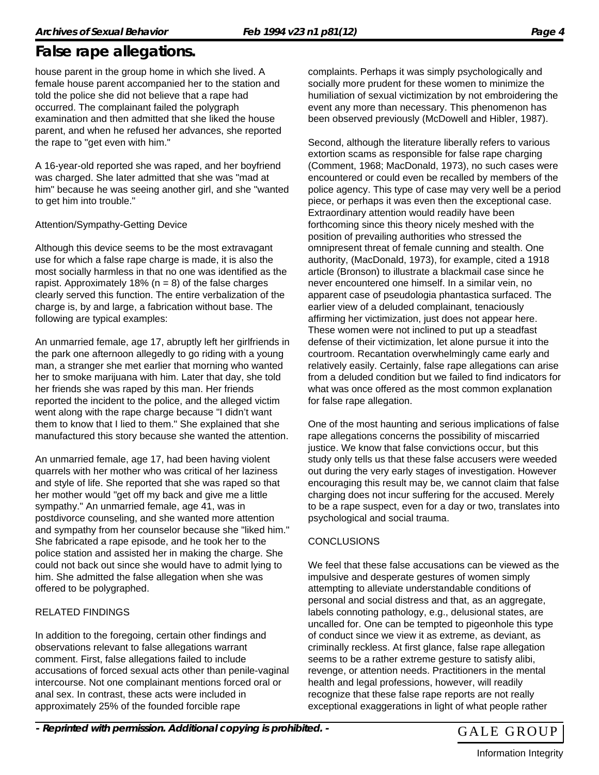house parent in the group home in which she lived. A female house parent accompanied her to the station and told the police she did not believe that a rape had occurred. The complainant failed the polygraph examination and then admitted that she liked the house parent, and when he refused her advances, she reported the rape to "get even with him."

A 16-year-old reported she was raped, and her boyfriend was charged. She later admitted that she was "mad at him" because he was seeing another girl, and she "wanted to get him into trouble."

#### Attention/Sympathy-Getting Device

Although this device seems to be the most extravagant use for which a false rape charge is made, it is also the most socially harmless in that no one was identified as the rapist. Approximately 18% ( $n = 8$ ) of the false charges clearly served this function. The entire verbalization of the charge is, by and large, a fabrication without base. The following are typical examples:

An unmarried female, age 17, abruptly left her girlfriends in the park one afternoon allegedly to go riding with a young man, a stranger she met earlier that morning who wanted her to smoke marijuana with him. Later that day, she told her friends she was raped by this man. Her friends reported the incident to the police, and the alleged victim went along with the rape charge because "I didn't want them to know that I lied to them." She explained that she manufactured this story because she wanted the attention.

An unmarried female, age 17, had been having violent quarrels with her mother who was critical of her laziness and style of life. She reported that she was raped so that her mother would "get off my back and give me a little sympathy." An unmarried female, age 41, was in postdivorce counseling, and she wanted more attention and sympathy from her counselor because she "liked him." She fabricated a rape episode, and he took her to the police station and assisted her in making the charge. She could not back out since she would have to admit lying to him. She admitted the false allegation when she was offered to be polygraphed.

#### RELATED FINDINGS

In addition to the foregoing, certain other findings and observations relevant to false allegations warrant comment. First, false allegations failed to include accusations of forced sexual acts other than penile-vaginal intercourse. Not one complainant mentions forced oral or anal sex. In contrast, these acts were included in approximately 25% of the founded forcible rape

complaints. Perhaps it was simply psychologically and socially more prudent for these women to minimize the humiliation of sexual victimization by not embroidering the event any more than necessary. This phenomenon has been observed previously (McDowell and Hibler, 1987).

Second, although the literature liberally refers to various extortion scams as responsible for false rape charging (Comment, 1968; MacDonald, 1973), no such cases were encountered or could even be recalled by members of the police agency. This type of case may very well be a period piece, or perhaps it was even then the exceptional case. Extraordinary attention would readily have been forthcoming since this theory nicely meshed with the position of prevailing authorities who stressed the omnipresent threat of female cunning and stealth. One authority, (MacDonald, 1973), for example, cited a 1918 article (Bronson) to illustrate a blackmail case since he never encountered one himself. In a similar vein, no apparent case of pseudologia phantastica surfaced. The earlier view of a deluded complainant, tenaciously affirming her victimization, just does not appear here. These women were not inclined to put up a steadfast defense of their victimization, let alone pursue it into the courtroom. Recantation overwhelmingly came early and relatively easily. Certainly, false rape allegations can arise from a deluded condition but we failed to find indicators for what was once offered as the most common explanation for false rape allegation.

One of the most haunting and serious implications of false rape allegations concerns the possibility of miscarried justice. We know that false convictions occur, but this study only tells us that these false accusers were weeded out during the very early stages of investigation. However encouraging this result may be, we cannot claim that false charging does not incur suffering for the accused. Merely to be a rape suspect, even for a day or two, translates into psychological and social trauma.

#### **CONCLUSIONS**

We feel that these false accusations can be viewed as the impulsive and desperate gestures of women simply attempting to alleviate understandable conditions of personal and social distress and that, as an aggregate, labels connoting pathology, e.g., delusional states, are uncalled for. One can be tempted to pigeonhole this type of conduct since we view it as extreme, as deviant, as criminally reckless. At first glance, false rape allegation seems to be a rather extreme gesture to satisfy alibi, revenge, or attention needs. Practitioners in the mental health and legal professions, however, will readily recognize that these false rape reports are not really exceptional exaggerations in light of what people rather

- Reprinted with permission. Additional copying is prohibited. - GALE GROUP

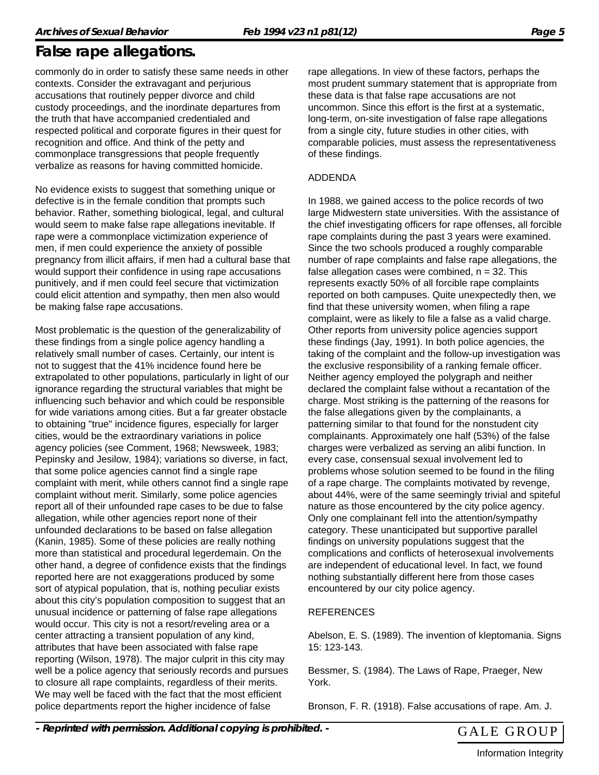commonly do in order to satisfy these same needs in other contexts. Consider the extravagant and perjurious accusations that routinely pepper divorce and child custody proceedings, and the inordinate departures from the truth that have accompanied credentialed and respected political and corporate figures in their quest for recognition and office. And think of the petty and commonplace transgressions that people frequently verbalize as reasons for having committed homicide.

No evidence exists to suggest that something unique or defective is in the female condition that prompts such behavior. Rather, something biological, legal, and cultural would seem to make false rape allegations inevitable. If rape were a commonplace victimization experience of men, if men could experience the anxiety of possible pregnancy from illicit affairs, if men had a cultural base that would support their confidence in using rape accusations punitively, and if men could feel secure that victimization could elicit attention and sympathy, then men also would be making false rape accusations.

Most problematic is the question of the generalizability of these findings from a single police agency handling a relatively small number of cases. Certainly, our intent is not to suggest that the 41% incidence found here be extrapolated to other populations, particularly in light of our ignorance regarding the structural variables that might be influencing such behavior and which could be responsible for wide variations among cities. But a far greater obstacle to obtaining "true" incidence figures, especially for larger cities, would be the extraordinary variations in police agency policies (see Comment, 1968; Newsweek, 1983; Pepinsky and Jesilow, 1984); variations so diverse, in fact, that some police agencies cannot find a single rape complaint with merit, while others cannot find a single rape complaint without merit. Similarly, some police agencies report all of their unfounded rape cases to be due to false allegation, while other agencies report none of their unfounded declarations to be based on false allegation (Kanin, 1985). Some of these policies are really nothing more than statistical and procedural legerdemain. On the other hand, a degree of confidence exists that the findings reported here are not exaggerations produced by some sort of atypical population, that is, nothing peculiar exists about this city's population composition to suggest that an unusual incidence or patterning of false rape allegations would occur. This city is not a resort/reveling area or a center attracting a transient population of any kind, attributes that have been associated with false rape reporting (Wilson, 1978). The major culprit in this city may well be a police agency that seriously records and pursues to closure all rape complaints, regardless of their merits. We may well be faced with the fact that the most efficient police departments report the higher incidence of false

rape allegations. In view of these factors, perhaps the most prudent summary statement that is appropriate from these data is that false rape accusations are not uncommon. Since this effort is the first at a systematic, long-term, on-site investigation of false rape allegations from a single city, future studies in other cities, with comparable policies, must assess the representativeness of these findings.

#### ADDENDA

In 1988, we gained access to the police records of two large Midwestern state universities. With the assistance of the chief investigating officers for rape offenses, all forcible rape complaints during the past 3 years were examined. Since the two schools produced a roughly comparable number of rape complaints and false rape allegations, the false allegation cases were combined,  $n = 32$ . This represents exactly 50% of all forcible rape complaints reported on both campuses. Quite unexpectedly then, we find that these university women, when filing a rape complaint, were as likely to file a false as a valid charge. Other reports from university police agencies support these findings (Jay, 1991). In both police agencies, the taking of the complaint and the follow-up investigation was the exclusive responsibility of a ranking female officer. Neither agency employed the polygraph and neither declared the complaint false without a recantation of the charge. Most striking is the patterning of the reasons for the false allegations given by the complainants, a patterning similar to that found for the nonstudent city complainants. Approximately one half (53%) of the false charges were verbalized as serving an alibi function. In every case, consensual sexual involvement led to problems whose solution seemed to be found in the filing of a rape charge. The complaints motivated by revenge, about 44%, were of the same seemingly trivial and spiteful nature as those encountered by the city police agency. Only one complainant fell into the attention/sympathy category. These unanticipated but supportive parallel findings on university populations suggest that the complications and conflicts of heterosexual involvements are independent of educational level. In fact, we found nothing substantially different here from those cases encountered by our city police agency.

#### **REFERENCES**

Abelson, E. S. (1989). The invention of kleptomania. Signs 15: 123-143.

Bessmer, S. (1984). The Laws of Rape, Praeger, New York.

Bronson, F. R. (1918). False accusations of rape. Am. J.

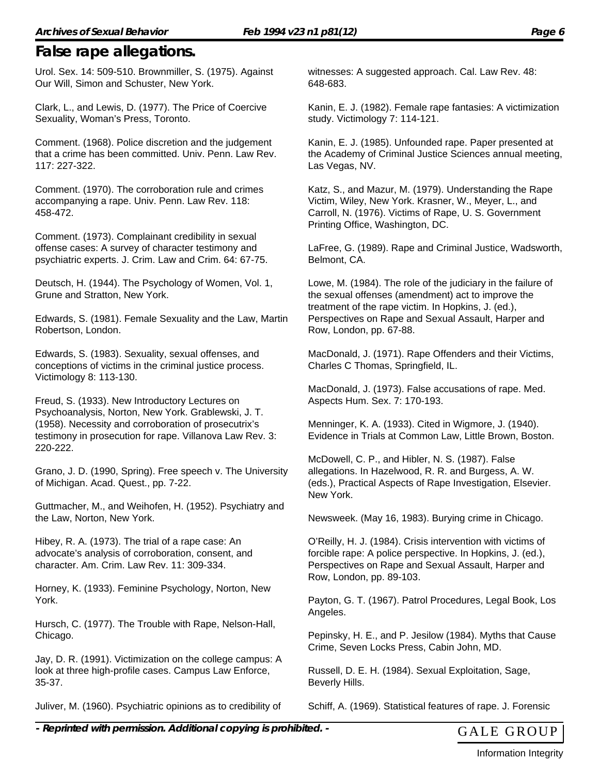Urol. Sex. 14: 509-510. Brownmiller, S. (1975). Against Our Will, Simon and Schuster, New York.

Clark, L., and Lewis, D. (1977). The Price of Coercive Sexuality, Woman's Press, Toronto.

Comment. (1968). Police discretion and the judgement that a crime has been committed. Univ. Penn. Law Rev. 117: 227-322.

Comment. (1970). The corroboration rule and crimes accompanying a rape. Univ. Penn. Law Rev. 118: 458-472.

Comment. (1973). Complainant credibility in sexual offense cases: A survey of character testimony and psychiatric experts. J. Crim. Law and Crim. 64: 67-75.

Deutsch, H. (1944). The Psychology of Women, Vol. 1, Grune and Stratton, New York.

Edwards, S. (1981). Female Sexuality and the Law, Martin Robertson, London.

Edwards, S. (1983). Sexuality, sexual offenses, and conceptions of victims in the criminal justice process. Victimology 8: 113-130.

Freud, S. (1933). New Introductory Lectures on Psychoanalysis, Norton, New York. Grablewski, J. T. (1958). Necessity and corroboration of prosecutrix's testimony in prosecution for rape. Villanova Law Rev. 3: 220-222.

Grano, J. D. (1990, Spring). Free speech v. The University of Michigan. Acad. Quest., pp. 7-22.

Guttmacher, M., and Weihofen, H. (1952). Psychiatry and the Law, Norton, New York.

Hibey, R. A. (1973). The trial of a rape case: An advocate's analysis of corroboration, consent, and character. Am. Crim. Law Rev. 11: 309-334.

Horney, K. (1933). Feminine Psychology, Norton, New York.

Hursch, C. (1977). The Trouble with Rape, Nelson-Hall, Chicago.

Jay, D. R. (1991). Victimization on the college campus: A look at three high-profile cases. Campus Law Enforce, 35-37.

Juliver, M. (1960). Psychiatric opinions as to credibility of

witnesses: A suggested approach. Cal. Law Rev. 48: 648-683.

Kanin, E. J. (1982). Female rape fantasies: A victimization study. Victimology 7: 114-121.

Kanin, E. J. (1985). Unfounded rape. Paper presented at the Academy of Criminal Justice Sciences annual meeting, Las Vegas, NV.

Katz, S., and Mazur, M. (1979). Understanding the Rape Victim, Wiley, New York. Krasner, W., Meyer, L., and Carroll, N. (1976). Victims of Rape, U. S. Government Printing Office, Washington, DC.

LaFree, G. (1989). Rape and Criminal Justice, Wadsworth, Belmont, CA.

Lowe, M. (1984). The role of the judiciary in the failure of the sexual offenses (amendment) act to improve the treatment of the rape victim. In Hopkins, J. (ed.), Perspectives on Rape and Sexual Assault, Harper and Row, London, pp. 67-88.

MacDonald, J. (1971). Rape Offenders and their Victims, Charles C Thomas, Springfield, IL.

MacDonald, J. (1973). False accusations of rape. Med. Aspects Hum. Sex. 7: 170-193.

Menninger, K. A. (1933). Cited in Wigmore, J. (1940). Evidence in Trials at Common Law, Little Brown, Boston.

McDowell, C. P., and Hibler, N. S. (1987). False allegations. In Hazelwood, R. R. and Burgess, A. W. (eds.), Practical Aspects of Rape Investigation, Elsevier. New York.

Newsweek. (May 16, 1983). Burying crime in Chicago.

O'Reilly, H. J. (1984). Crisis intervention with victims of forcible rape: A police perspective. In Hopkins, J. (ed.), Perspectives on Rape and Sexual Assault, Harper and Row, London, pp. 89-103.

Payton, G. T. (1967). Patrol Procedures, Legal Book, Los Angeles.

Pepinsky, H. E., and P. Jesilow (1984). Myths that Cause Crime, Seven Locks Press, Cabin John, MD.

Russell, D. E. H. (1984). Sexual Exploitation, Sage, Beverly Hills.

Schiff, A. (1969). Statistical features of rape. J. Forensic